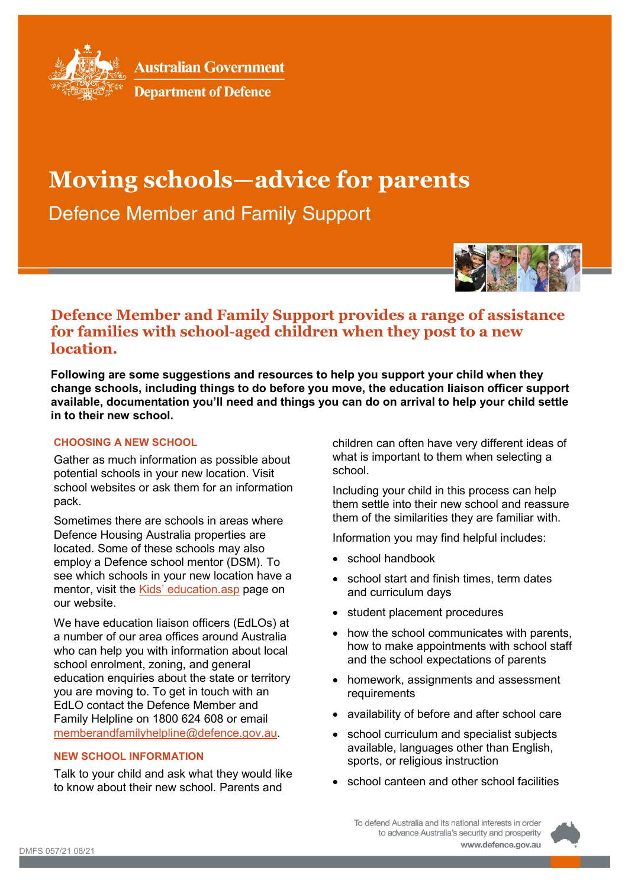

**Australian Government** 



# **Moving schools—advice for parents**

**Defence Member and Family Support** 



## **Defence Member and Family Support provides a range of assistance for families with school-aged children when they post to a new location.**

**Following are some suggestions and resources to help you support your child when they change schools, including things to do before you move, the education liaison officer support available, documentation you'll need and things you can do on arrival to help your child settle in to their new school.**

### **CHOOSING A NEW SCHOOL**

Gather as much information as possible about potential schools in your new location. Visit school websites or ask them for an information pack.

Sometimes there are schools in areas where Defence Housing Australia properties are located. Some of these schools may also employ a Defence school mentor (DSM). To see which schools in your new location have a mentor, visit the [Kids' education.asp](http://www.defence.gov.au/members-families/Family/Kids/Education.asp) page on our website.

We have education liaison officers (EdLOs) at a number of our area offices around Australia who can help you with information about local school enrolment, zoning, and general education enquiries about the state or territory you are moving to. To get in touch with an EdLO contact the Defence Member and Family Helpline on 1800 624 608 or email [memberandfamilyhelpline@defence.gov.au.](mailto:memberandfamilyhelpline@defence.gov.au)

### **NEW SCHOOL INFORMATION**

Talk to your child and ask what they would like to know about their new school. Parents and

children can often have very different ideas of what is important to them when selecting a school.

Including your child in this process can help them settle into their new school and reassure them of the similarities they are familiar with.

Information you may find helpful includes:

- school handbook
- school start and finish times, term dates and curriculum days
- student placement procedures
- how the school communicates with parents, how to make appointments with school staff and the school expectations of parents
- homework, assignments and assessment requirements
- availability of before and after school care
- school curriculum and specialist subjects available, languages other than English, sports, or religious instruction
- school canteen and other school facilities